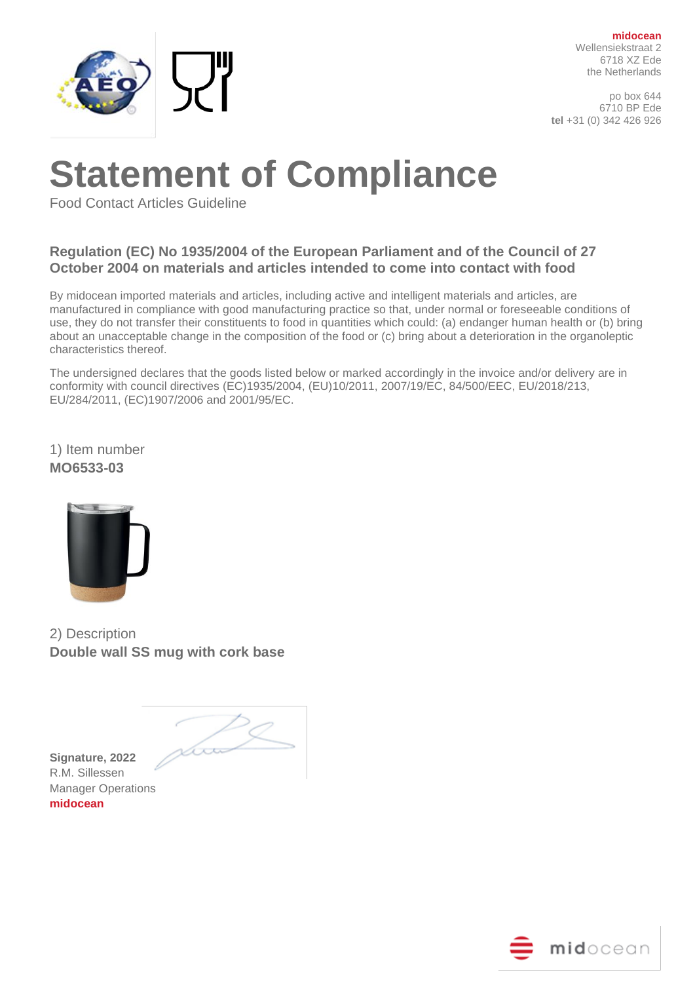

**midocean** Wellensiekstraat 2 6718 XZ Ede the Netherlands

po box 644 6710 BP Ede **tel** +31 (0) 342 426 926

## **Statement of Compliance**

Food Contact Articles Guideline

## **Regulation (EC) No 1935/2004 of the European Parliament and of the Council of 27 October 2004 on materials and articles intended to come into contact with food**

By midocean imported materials and articles, including active and intelligent materials and articles, are manufactured in compliance with good manufacturing practice so that, under normal or foreseeable conditions of use, they do not transfer their constituents to food in quantities which could: (a) endanger human health or (b) bring about an unacceptable change in the composition of the food or (c) bring about a deterioration in the organoleptic characteristics thereof.

The undersigned declares that the goods listed below or marked accordingly in the invoice and/or delivery are in conformity with council directives (EC)1935/2004, (EU)10/2011, 2007/19/EC, 84/500/EEC, EU/2018/213, EU/284/2011, (EC)1907/2006 and 2001/95/EC.

1) Item number **MO6533-03**



2) Description **Double wall SS mug with cork base**

**Signature, 2022**  R.M. Sillessen Manager Operations **midocean**